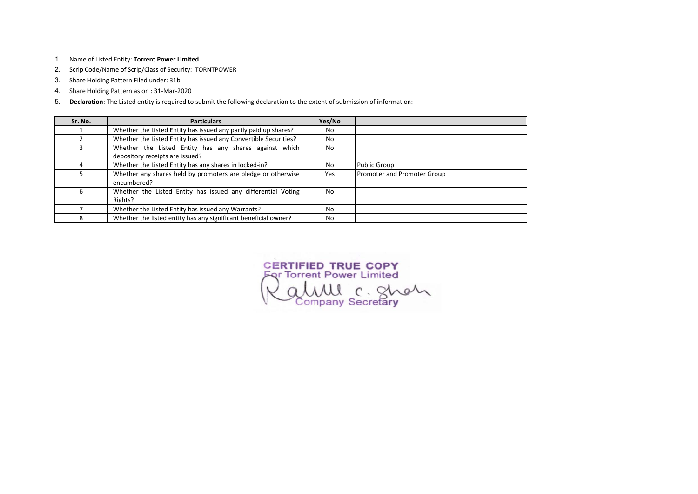- 1. Name of Listed Entity: Torrent Power Limited
- 2. Scrip Code/Name of Scrip/Class of Security: TORNTPOWER
- 3. Share Holding Pattern Filed under: 31b
- 4. Share Holding Pattern as on : 31-Mar-2020
- 5. Declaration: The Listed entity is required to submit the following declaration to the extent of submission of information:-

| Sr. No. | <b>Particulars</b>                                               | Yes/No    |                             |
|---------|------------------------------------------------------------------|-----------|-----------------------------|
|         | Whether the Listed Entity has issued any partly paid up shares?  | No        |                             |
|         | Whether the Listed Entity has issued any Convertible Securities? | No        |                             |
| 3       | Whether the Listed Entity has any shares against which           | No        |                             |
|         | depository receipts are issued?                                  |           |                             |
| 4       | Whether the Listed Entity has any shares in locked-in?           | No.       | <b>Public Group</b>         |
|         | Whether any shares held by promoters are pledge or otherwise     | Yes       | Promoter and Promoter Group |
|         | encumbered?                                                      |           |                             |
| 6       | Whether the Listed Entity has issued any differential Voting     | No        |                             |
|         | Rights?                                                          |           |                             |
|         | Whether the Listed Entity has issued any Warrants?               | <b>No</b> |                             |
| 8       | Whether the listed entity has any significant beneficial owner?  | No        |                             |

CERTIFIED TRUE COPY<br>For Torrent Power Limited<br>COLUUL C. SMOM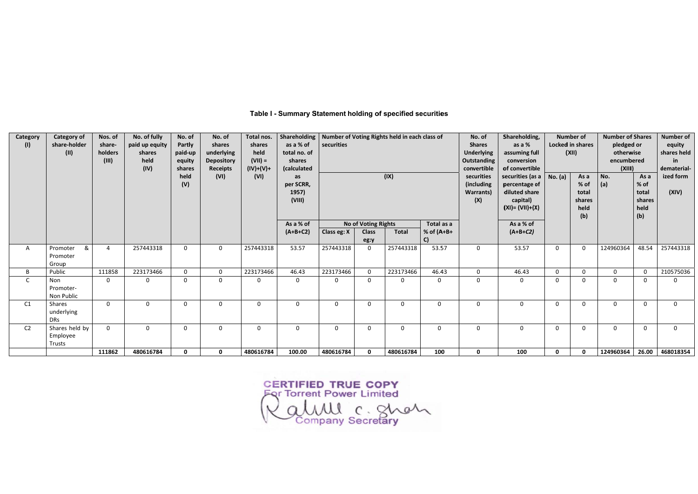**Category of** No. of fully Shareholding Number of Voting Rights held in each class of Sharehold **Category** Nos. of No. of No. of Total nos. No. of share-holder as a % of  $(1)$ paid up equity Partly shares shares securities **Shares** shareas a  $%$  $(II)$ paid-up total no. of **Underlying** holders shares underlying held assuming  $(III)$ held equity **Depository**  $(VII) =$ shares **Outstanding** convers shares  $(IV)+(V)+$ (calculated convertible  $(IV)$ **Receipts** of conver held  $(VI)$  $(VI)$  $(IX)$ securities securities as per SCRR, (including  $(V)$ percentag 1957) **Warrants**) diluted sl  $(VIII)$  $(X)$ capita  $(XI) = (VII)$ As a % As a % of No of Voting Rights Total as a  $(A+B+C2)$ Class eg: X % of  $(A+B+$  $(A+B+C$ **Class Total**  $C$ eg:y  $\infty$ 257443318 257443318 257443318 257443318 53.57  $\overline{4}$  $\mathbf 0$  $\mathsf 0$ 53.57 53.57  $\overline{0}$  $\mathsf{A}$ Promoter  $\overline{0}$ Promoter Group  $\, {\bf B} \,$ Public 111858 223173466  $\mathbf 0$  $\mathsf{O}$ 223173466 46.43 223173466  $\mathbf 0$ 223173466 46.43  $\mathbf 0$ 46.43  $\overline{C}$  $\overline{0}$ Non  $\overline{0}$  $\overline{0}$  $\overline{0}$  $\mathbf{0}$  $\mathbf{0}$  $\mathbf{0}$  $\mathbf{0}$  $\mathbf{0}$  $\mathbf{0}$  $\mathbf{0}$  $\overline{0}$ Promoter-Non Public  $\overline{0}$  $\mathbf{0}$  $\overline{0}$  $C1$ Shares  $\mathbf 0$  $\mathbf 0$  $\mathbf 0$  $\overline{0}$  $\mathbf 0$  $\mathbf 0$  $\mathbf 0$  $\mathbf 0$  $\mathbf 0$ underlying **DRs**  $C<sub>2</sub>$ Shares held by  $\overline{0}$  $\overline{0}$  $\mathbf 0$  $\overline{0}$  $\overline{0}$  $\mathbf 0$  $\overline{0}$  $\mathbf 0$  $\mathbf 0$  $\mathbf 0$  $\mathbf 0$  $\overline{0}$ Employee Trusts 111862 480616784 100.00  $\overline{\mathbf{0}}$  $\overline{\mathbf{0}}$ 480616784 480616784  $\overline{\mathbf{0}}$ 480616784  $100$  $\overline{\mathbf{0}}$  $\frac{100}{100}$ 

#### Table I - Summary Statement holding of specified securities

CERTIFIED TRUE COPY<br>For Torrent Power Limited WWW C. Shot

| ding,<br>6<br>z full<br>ion<br>tible                |                | <b>Number of</b><br><b>Locked in shares</b><br>(XII) | <b>Number of Shares</b><br>pledged or<br>otherwise<br>encumbered<br>(XIII) | <b>Number of</b><br>equity<br>shares held<br>in<br>dematerial- |                    |  |  |  |
|-----------------------------------------------------|----------------|------------------------------------------------------|----------------------------------------------------------------------------|----------------------------------------------------------------|--------------------|--|--|--|
| (as a<br>ge of<br>hare<br>I)<br>$+(x)$<br>of<br>:2) | <b>No.</b> (a) | As a<br>% of<br>total<br>shares<br>held<br>(b)       | No.<br>(a)                                                                 | As a<br>% of<br>total<br>shares<br>held<br>(b)                 | ized form<br>(XIV) |  |  |  |
| 7                                                   | 0              | 0                                                    | 124960364                                                                  | 48.54                                                          | 257443318          |  |  |  |
| š                                                   | 0              | 0                                                    | 0                                                                          | 0                                                              | 210575036          |  |  |  |
|                                                     | 0              | 0                                                    | 0                                                                          | 0                                                              | 0                  |  |  |  |
|                                                     | 0              | 0                                                    | 0                                                                          | 0                                                              | 0                  |  |  |  |
|                                                     | 0              | 0                                                    | 0                                                                          | 0                                                              |                    |  |  |  |
|                                                     | 0              | 0                                                    | 124960364                                                                  | 26.00                                                          | 468018354          |  |  |  |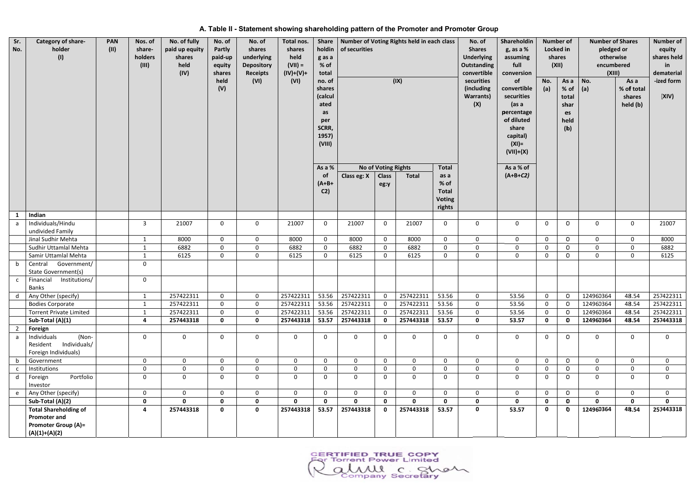| Sr.<br>No.          | Category of share-<br>holder<br>(1)                                                                  | <b>PAN</b><br>(11) | Nos. of<br>share-<br>holders<br>(III) | No. of fully<br>paid up equity<br>shares<br>held<br>(IV) | No. of<br>Partly<br>paid-up<br>equity<br>shares<br>held<br>(V) | No. of<br>shares<br>underlying<br><b>Depository</b><br><b>Receipts</b><br>(VI) | Total nos.<br>shares<br>held<br>$(VII) =$<br>$(IV)+(V)+$<br>(VI) | <b>Share</b><br>holdin<br>g as a<br>% of<br>total<br>no. of<br>shares<br>(calcul<br>ated<br>as<br>per<br>SCRR,<br>1957)<br>(VIII) | of securities             |                      | Number of Voting Rights held in each class<br>(IX) | No. of<br><b>Shares</b><br><b>Underlying</b><br>Outstanding<br>convertible<br>securities<br>(including<br><b>Warrants</b> )<br>(X) | Shareholdin<br>g, as a %<br>assuming<br>full<br>conversion<br>of<br>convertible<br>securities<br>(as a<br>percentage<br>of diluted<br>share<br>capital)<br>$(XI) =$<br>$(VII)+(X)$ | No.<br>(a)   | <b>Number of</b><br>Locked in<br>shares<br>(XII)<br>As a<br>% of<br>total<br>shar<br>es<br>held<br>(b) | pledged or<br>otherwise<br>encumbered<br>(XIII)<br>No.<br>$ $ (a) | <b>Number of Shares</b><br>As a<br>% of total<br>shares<br>held (b) | equity<br>shares held<br>in.<br>dematerial<br>-ized form<br>(XIV) |             |
|---------------------|------------------------------------------------------------------------------------------------------|--------------------|---------------------------------------|----------------------------------------------------------|----------------------------------------------------------------|--------------------------------------------------------------------------------|------------------------------------------------------------------|-----------------------------------------------------------------------------------------------------------------------------------|---------------------------|----------------------|----------------------------------------------------|------------------------------------------------------------------------------------------------------------------------------------|------------------------------------------------------------------------------------------------------------------------------------------------------------------------------------|--------------|--------------------------------------------------------------------------------------------------------|-------------------------------------------------------------------|---------------------------------------------------------------------|-------------------------------------------------------------------|-------------|
|                     |                                                                                                      |                    |                                       |                                                          |                                                                |                                                                                |                                                                  | As a %                                                                                                                            |                           | No of Voting Rights  |                                                    | <b>Total</b>                                                                                                                       |                                                                                                                                                                                    | As a % of    |                                                                                                        |                                                                   |                                                                     |                                                                   |             |
|                     |                                                                                                      |                    |                                       |                                                          |                                                                |                                                                                |                                                                  | <b>of</b><br>$(A+B+$<br>C <sub>2</sub>                                                                                            | Class eg: X               | <b>Class</b><br>eg:y | <b>Total</b>                                       | as a<br>$%$ of<br><b>Total</b><br><b>Voting</b><br>rights                                                                          |                                                                                                                                                                                    | $(A+B+C2)$   |                                                                                                        |                                                                   |                                                                     |                                                                   |             |
| $\mathbf{1}$        | Indian                                                                                               |                    |                                       |                                                          |                                                                |                                                                                |                                                                  |                                                                                                                                   |                           |                      |                                                    |                                                                                                                                    |                                                                                                                                                                                    |              |                                                                                                        |                                                                   |                                                                     |                                                                   |             |
| a a                 | Individuals/Hindu<br>undivided Family                                                                |                    | 3                                     | 21007                                                    | 0                                                              | $\mathbf{0}$                                                                   | 21007                                                            | $\mathbf{0}$                                                                                                                      | 21007                     | $\mathbf 0$          | 21007                                              | $\mathbf 0$                                                                                                                        | 0                                                                                                                                                                                  | 0            | $\mathbf 0$                                                                                            | 0                                                                 | $\mathbf{0}$                                                        | $\mathbf{0}$                                                      | 21007       |
|                     | Jinal Sudhir Mehta                                                                                   |                    | $\mathbf{1}$                          | 8000                                                     | $\mathbf 0$                                                    | $\mathbf 0$                                                                    | 8000                                                             | $\mathbf 0$                                                                                                                       | 8000                      | $\mathbf 0$          | 8000                                               | $\mathbf 0$                                                                                                                        | $\mathbf 0$                                                                                                                                                                        | $\mathsf{O}$ | 0                                                                                                      | 0                                                                 | $\mathbf 0$                                                         | 0                                                                 | 8000        |
|                     | Sudhir Uttamlal Mehta                                                                                |                    | $\mathbf{1}$                          | 6882                                                     | 0                                                              | $\mathbf 0$                                                                    | 6882                                                             | $\mathbf{0}$                                                                                                                      | 6882                      | $\mathbf 0$          | 6882                                               | $\mathbf 0$                                                                                                                        | $\mathbf 0$                                                                                                                                                                        | $\mathsf{O}$ | $\mathbf 0$                                                                                            | 0                                                                 | $\mathbf 0$                                                         | 0                                                                 | 6882        |
|                     | Samir Uttamlal Mehta                                                                                 |                    | $\mathbf{1}$                          | 6125                                                     | $\mathbf 0$                                                    | $\mathbf 0$                                                                    | 6125                                                             | $\mathbf{0}$                                                                                                                      | 6125                      | $\mathbf 0$          | 6125                                               | $\mathbf 0$                                                                                                                        | $\mathbf 0$                                                                                                                                                                        | $\mathbf 0$  | 0                                                                                                      | 0                                                                 | $\mathbf{0}$                                                        | $\mathbf 0$                                                       | 6125        |
| b                   | Central Government/<br>State Government(s)                                                           |                    | 0                                     |                                                          |                                                                |                                                                                |                                                                  |                                                                                                                                   |                           |                      |                                                    |                                                                                                                                    |                                                                                                                                                                                    |              |                                                                                                        |                                                                   |                                                                     |                                                                   |             |
| $\mathsf{C}$        | Financial<br>Institutions/<br>Banks                                                                  |                    | $\mathbf 0$                           |                                                          |                                                                |                                                                                |                                                                  |                                                                                                                                   |                           |                      |                                                    |                                                                                                                                    |                                                                                                                                                                                    |              |                                                                                                        |                                                                   |                                                                     |                                                                   |             |
|                     | d   Any Other (specify)                                                                              |                    | $\mathbf{1}$                          | 257422311                                                | 0                                                              | $\mathbf 0$                                                                    |                                                                  |                                                                                                                                   | 257422311 53.56 257422311 | $\mathbf{0}$         | 257422311                                          | 53.56                                                                                                                              | 0                                                                                                                                                                                  | 53.56        | 0                                                                                                      | 0                                                                 | 124960364                                                           | 48.54                                                             | 257422311   |
|                     | <b>Bodies Corporate</b>                                                                              |                    | 1                                     | 257422311                                                | $\mathbf{0}$                                                   | 0                                                                              | 257422311                                                        | 53.56                                                                                                                             | 257422311                 | $\overline{0}$       | 257422311                                          | 53.56                                                                                                                              | $\Omega$                                                                                                                                                                           | 53.56        | 0                                                                                                      | 0                                                                 | 124960364                                                           | 48.54                                                             | 257422311   |
|                     | <b>Torrent Private Limited</b>                                                                       |                    | $\mathbf{1}$                          | 257422311                                                | $\mathbf{0}$                                                   | $\mathbf 0$                                                                    | 257422311                                                        | 53.56                                                                                                                             | 257422311                 | $\Omega$             | 257422311                                          | 53.56                                                                                                                              | $\mathbf 0$                                                                                                                                                                        | 53.56        | $\mathbf 0$                                                                                            | $\Omega$                                                          | 124960364                                                           | 48.54                                                             | 257422311   |
|                     | Sub-Total (A)(1)                                                                                     |                    | 4                                     | 257443318                                                | $\mathbf 0$                                                    | $\mathbf 0$                                                                    | 257443318                                                        | 53.57                                                                                                                             | 257443318                 | $\mathbf 0$          | 257443318                                          | 53.57                                                                                                                              | $\mathbf 0$                                                                                                                                                                        | 53.57        | $\mathbf 0$                                                                                            | $\bm{0}$                                                          | 124960364                                                           | 48.54                                                             | 257443318   |
| $\overline{2}$<br>a | Foreign<br>Individuals<br>(Non-<br>Individuals/<br>Resident<br>Foreign Individuals)                  |                    | 0                                     | 0                                                        | $\mathbf{0}$                                                   | 0                                                                              | 0                                                                | $\mathbf 0$                                                                                                                       | $\mathbf 0$               | $\mathbf 0$          | $\Omega$                                           | $\mathbf 0$                                                                                                                        | 0                                                                                                                                                                                  | $\mathsf{O}$ | 0                                                                                                      | $\mathbb{O}$                                                      | $\Omega$                                                            | $\mathbf{0}$                                                      | $\mathbf 0$ |
|                     | Government                                                                                           |                    | $\Omega$                              | $\mathbf 0$                                              | $\mathbf{0}$                                                   | 0                                                                              | 0                                                                | $\mathbf 0$                                                                                                                       | $\mathbf 0$               | $\mathbf 0$          | $\mathbf 0$                                        | $\mathbf 0$                                                                                                                        | $\mathbf{0}$                                                                                                                                                                       | $\mathsf{O}$ | 0                                                                                                      | 0                                                                 | $\mathbf{0}$                                                        | $\mathbf{0}$                                                      | $\mathbf 0$ |
| $\mathbf{C}$        | Institutions                                                                                         |                    | $\mathsf{O}$                          | $\mathbf 0$                                              | $\mathbf 0$                                                    | $\mathbf 0$                                                                    | $\mathsf{O}$                                                     | $\mathbf 0$                                                                                                                       | $\mathsf 0$               | $\mathbf 0$          | $\mathbf 0$                                        | $\mathbf 0$                                                                                                                        | $\mathbf 0$                                                                                                                                                                        | $\mathsf{O}$ | $\mathbf 0$                                                                                            | $\mathbb O$                                                       | $\mathbf 0$                                                         | $\mathbf{0}$                                                      | $\mathbf 0$ |
| $\mathsf{d}$        | Portfolio<br>Foreign<br>Investor                                                                     |                    | 0                                     | $\boldsymbol{0}$                                         | $\mathbf 0$                                                    | $\mathbf 0$                                                                    | $\mathsf{O}$                                                     | $\mathbf 0$                                                                                                                       | $\mathbf 0$               | $\mathbf 0$          | $\mathbf 0$                                        | $\mathbf 0$                                                                                                                        | $\boldsymbol{0}$                                                                                                                                                                   | $\mathbf 0$  | 0                                                                                                      | 0                                                                 | $\mathbf 0$                                                         | $\mathbf 0$                                                       | $\mathbf 0$ |
|                     | Any Other (specify)                                                                                  |                    | $\mathbf 0$                           | $\mathbf 0$                                              | $\mathbf 0$                                                    | $\mathbf 0$                                                                    | $\mathsf{O}$                                                     | $\mathbf{0}$                                                                                                                      | $\mathsf{O}$              | $\mathbf 0$          | $\mathbf 0$                                        | $\mathbf 0$                                                                                                                        | $\mathbf 0$                                                                                                                                                                        | $\mathbf 0$  | $\mathbf 0$                                                                                            | $\mathbb O$                                                       | $\mathbf{0}$                                                        | $\mathbf 0$                                                       | $\mathbf 0$ |
|                     | Sub-Total (A)(2)                                                                                     |                    | $\mathbf{0}$                          | $\Omega$                                                 | $\mathbf 0$                                                    | $\mathbf 0$                                                                    | $\mathbf{0}$                                                     | $\mathbf{0}$                                                                                                                      | $\mathbf 0$               | $\mathbf 0$          | $\Omega$                                           | $\mathbf 0$                                                                                                                        | $\mathbf 0$                                                                                                                                                                        | $\mathbf{0}$ | $\mathbf 0$                                                                                            | $\mathbf 0$                                                       | $\Omega$                                                            | $\mathbf{0}$                                                      | $\Omega$    |
|                     | <b>Total Shareholding of</b><br><b>Promoter and</b><br><b>Promoter Group (A)=</b><br>$(A)(1)+(A)(2)$ |                    | 4                                     | 257443318                                                | $\mathbf 0$                                                    | $\mathbf 0$                                                                    | 257443318                                                        | 53.57                                                                                                                             | 257443318                 | $\mathbf 0$          | 257443318                                          | 53.57                                                                                                                              | $\mathbf 0$                                                                                                                                                                        | 53.57        | $\mathbf{0}$                                                                                           | $\mathbf 0$                                                       | 124960364                                                           | 48.54                                                             | 257443318   |

## A. Table II - Statement showing shareholding pattern of the Promoter and Promoter Group

CERTIFIED TRUE COPY<br>For Torrent Power Limited<br>COMMU C. Shah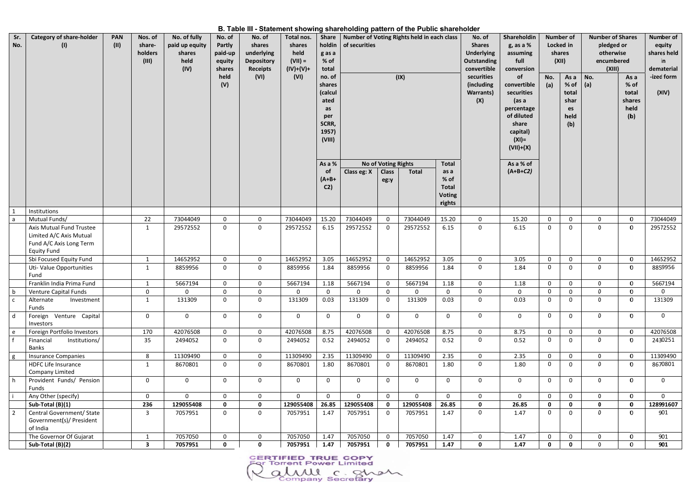B. Table III - Statement showing shareholding pattern of the Public shareholder

| Sr.<br>No.                       | (I)                                                                                                  | <b>PAN</b><br>(11) | Nos. of<br>share-<br>holders<br>(III) | No. of fully<br>paid up equity<br>shares<br>held<br>(IV) | No. of<br>Partly<br>paid-up<br>equity<br>shares<br>held<br>(V) | No. of<br>shares<br>underlying<br><b>Depository</b><br><b>Receipts</b><br>(VI) | $\cdots$ calculation cheming charactering pattern of the Fashe characteri<br>Total nos.<br>shares<br>held<br>$(VII) =$<br>$(IV)+(V)+$<br>(VI) | Share   Number of Voting Rights held in each class<br>holdin<br>g as a<br>% of<br>total<br>no. of<br>shares<br>(calcul<br>ated<br>as<br>per<br>SCRR,<br>1957)<br>(VIII) | of securities<br>(IX) |                                            |              |                                                 | No. of<br><b>Shares</b><br><b>Underlying</b><br><b>Outstanding</b><br>convertible<br>securities<br>(including<br><b>Warrants</b> )<br>(X) |                         | Shareholdin<br>g, as a %<br>assuming<br>full<br>conversion<br>of<br>convertible<br>securities<br>(as a<br>percentage<br>of diluted<br>share<br>capital)<br>$(XI) =$<br>$(VII)+(X)$ | No.<br>(a)  | <b>Number of</b><br>Locked in<br>shares<br>(XII)<br>As a No.<br>$%$ of<br>total<br>shar<br>es<br>held<br>(b) | <b>Number of Shares</b><br>pledged or<br>otherwise<br>encumbered<br>(XIII)<br>$ $ (a) | As a<br>$%$ of<br>total<br>shares<br>held<br>(b) | Number of<br>equity<br>shares held<br>in.<br>dematerial<br>-ized form<br>(XIV) |
|----------------------------------|------------------------------------------------------------------------------------------------------|--------------------|---------------------------------------|----------------------------------------------------------|----------------------------------------------------------------|--------------------------------------------------------------------------------|-----------------------------------------------------------------------------------------------------------------------------------------------|-------------------------------------------------------------------------------------------------------------------------------------------------------------------------|-----------------------|--------------------------------------------|--------------|-------------------------------------------------|-------------------------------------------------------------------------------------------------------------------------------------------|-------------------------|------------------------------------------------------------------------------------------------------------------------------------------------------------------------------------|-------------|--------------------------------------------------------------------------------------------------------------|---------------------------------------------------------------------------------------|--------------------------------------------------|--------------------------------------------------------------------------------|
|                                  |                                                                                                      |                    |                                       |                                                          |                                                                |                                                                                |                                                                                                                                               | As a %<br><b>of</b>                                                                                                                                                     | Class eg: X           | <b>No of Voting Rights</b><br><b>Class</b> | <b>Total</b> | <b>Total</b><br>as a                            |                                                                                                                                           | As a % of<br>$(A+B+C2)$ |                                                                                                                                                                                    |             |                                                                                                              |                                                                                       |                                                  |                                                                                |
|                                  |                                                                                                      |                    |                                       |                                                          |                                                                |                                                                                |                                                                                                                                               | $(A+B+$<br>C <sub>2</sub>                                                                                                                                               |                       | eg:y                                       |              | % of<br><b>Total</b><br><b>Voting</b><br>rights |                                                                                                                                           |                         |                                                                                                                                                                                    |             |                                                                                                              |                                                                                       |                                                  |                                                                                |
| $\mathbf{1}$                     | Institutions                                                                                         |                    |                                       |                                                          |                                                                |                                                                                |                                                                                                                                               |                                                                                                                                                                         |                       |                                            |              |                                                 |                                                                                                                                           |                         |                                                                                                                                                                                    |             |                                                                                                              |                                                                                       |                                                  |                                                                                |
| l a                              | Mutual Funds/                                                                                        |                    | 22                                    | 73044049                                                 | $\mathbf{0}$                                                   | $\mathbf 0$                                                                    | 73044049                                                                                                                                      | 15.20                                                                                                                                                                   | 73044049              | $\mathbf{0}$                               | 73044049     | 15.20                                           | $\mathbf 0$                                                                                                                               | 15.20                   | $\mathbf 0$                                                                                                                                                                        | $\mathbf 0$ | $\Omega$                                                                                                     | $\bf{0}$                                                                              | 73044049                                         |                                                                                |
|                                  | Axis Mutual Fund Trustee<br>Limited A/C Axis Mutual<br>Fund A/C Axis Long Term<br><b>Equity Fund</b> |                    | 1                                     | 29572552                                                 | 0                                                              | $\mathbf 0$                                                                    | 29572552                                                                                                                                      | 6.15                                                                                                                                                                    | 29572552              | $\mathbf 0$                                | 29572552     | 6.15                                            | $\mathbf 0$                                                                                                                               | 6.15                    | 0                                                                                                                                                                                  | $\mathbf 0$ | $\Omega$                                                                                                     | $\mathbf 0$                                                                           | 29572552                                         |                                                                                |
|                                  | Sbi Focused Equity Fund                                                                              |                    | $\mathbf{1}$                          | 14652952                                                 | $\mathbf 0$                                                    | $\mathbf 0$                                                                    | 14652952                                                                                                                                      | 3.05                                                                                                                                                                    | 14652952              | $\overline{0}$                             | 14652952     | 3.05                                            | $\mathbf 0$                                                                                                                               | 3.05                    | $\mathbf 0$                                                                                                                                                                        | $\mathsf 0$ | $\Omega$                                                                                                     | $\mathbf 0$                                                                           | 14652952                                         |                                                                                |
|                                  | Uti- Value Opportunities<br>Fund                                                                     |                    | 1                                     | 8859956                                                  | 0                                                              | $\mathbf 0$                                                                    | 8859956                                                                                                                                       | 1.84                                                                                                                                                                    | 8859956               | $\mathbf 0$                                | 8859956      | 1.84                                            | $\mathbf 0$                                                                                                                               | 1.84                    | 0                                                                                                                                                                                  | $\mathbf 0$ | - 0                                                                                                          | $\mathbf 0$                                                                           | 8859956                                          |                                                                                |
|                                  | Franklin India Prima Fund                                                                            |                    | $\mathbf{1}$                          | 5667194                                                  | 0                                                              | 0                                                                              | 5667194                                                                                                                                       | 1.18                                                                                                                                                                    | 5667194               | $\mathsf{O}$                               | 5667194      | 1.18                                            | $\mathbf 0$                                                                                                                               | 1.18                    | 0                                                                                                                                                                                  | $\mathbf 0$ | $\Omega$                                                                                                     | $\bf{0}$                                                                              | 5667194                                          |                                                                                |
| l b                              | <b>Venture Capital Funds</b>                                                                         |                    | 0                                     | $\mathbf{0}$                                             | 0                                                              | $\Omega$                                                                       | 0                                                                                                                                             | $\mathbf 0$                                                                                                                                                             | 0                     | $\mathbf{0}$                               | 0            | $\Omega$                                        | $\mathbf 0$                                                                                                                               | $\mathbf{0}$            | $\mathbf 0$                                                                                                                                                                        | $\Omega$    |                                                                                                              | $\mathbf 0$                                                                           | $\mathbf 0$                                      |                                                                                |
| $\mathsf{C}$                     | Alternate<br>Investment<br>Funds                                                                     |                    | $\mathbf 1$                           | 131309                                                   | 0                                                              | $\mathbf{0}$                                                                   | 131309                                                                                                                                        | 0.03                                                                                                                                                                    | 131309                | $\mathbf 0$                                | 131309       | 0.03                                            | 0                                                                                                                                         | 0.03                    | 0                                                                                                                                                                                  | $\mathbf 0$ | $\bf{0}$                                                                                                     | $\mathbf 0$                                                                           | 131309                                           |                                                                                |
| d                                | Foreign Venture Capital<br>Investors                                                                 |                    | $\mathbf 0$                           | $\mathbf 0$                                              | $\mathbf 0$                                                    | $\mathbf 0$                                                                    | $\mathbf 0$                                                                                                                                   | $\mathbf 0$                                                                                                                                                             | $\mathbf 0$           | $\mathbf 0$                                | $\mathbf 0$  | $\Omega$                                        | $\mathbf 0$                                                                                                                               | $\mathbf{0}$            | $\mathbf 0$                                                                                                                                                                        | $\mathbf 0$ | $\mathbf 0$                                                                                                  | $\bf{0}$                                                                              | $\mathsf{O}$                                     |                                                                                |
| e                                | Foreign Portfolio Investors                                                                          |                    | 170                                   | 42076508                                                 | $\mathbf 0$                                                    | $\mathbf 0$                                                                    | 42076508                                                                                                                                      | 8.75                                                                                                                                                                    | 42076508              | $\mathbf{0}$                               | 42076508     | 8.75                                            | $\mathbf 0$                                                                                                                               | 8.75                    | $\mathbf{0}$                                                                                                                                                                       | $\mathbf 0$ | $\Omega$                                                                                                     | $\mathbf 0$                                                                           | 42076508                                         |                                                                                |
|                                  | Financial<br>Institutions/<br>Banks                                                                  |                    | 35                                    | 2494052                                                  | $\mathbf 0$                                                    | $\mathbf 0$                                                                    | 2494052                                                                                                                                       | 0.52                                                                                                                                                                    | 2494052               | $\mathbf 0$                                | 2494052      | 0.52                                            | $\mathbf 0$                                                                                                                               | 0.52                    | $\mathbf 0$                                                                                                                                                                        | $\mathbf 0$ | $\mathbf{0}$                                                                                                 | $\bf{0}$                                                                              | 2430251                                          |                                                                                |
| g                                | <b>Insurance Companies</b>                                                                           |                    | 8                                     | 11309490                                                 | $\mathbf{O}$                                                   | $\Omega$                                                                       | 11309490                                                                                                                                      | 2.35                                                                                                                                                                    | 11309490              | $\mathbf{0}$                               | 11309490     | 2.35                                            | $\mathbf 0$                                                                                                                               | 2.35                    | $\mathbf 0$                                                                                                                                                                        | $\mathbf 0$ | $\Omega$                                                                                                     | $\bf{0}$                                                                              | 11309490                                         |                                                                                |
|                                  | <b>HDFC Life Insurance</b><br>Company Limited                                                        |                    | $\mathbf{1}$                          | 8670801                                                  | $\overline{0}$                                                 | $\mathbf{0}$                                                                   | 8670801                                                                                                                                       | 1.80                                                                                                                                                                    | 8670801               | $\mathbf 0$                                | 8670801      | 1.80                                            | $\mathbf 0$                                                                                                                               | 1.80                    | $\mathbf 0$                                                                                                                                                                        | $\mathbf 0$ | $\mathbf 0$                                                                                                  | $\mathbf 0$                                                                           | 8670801                                          |                                                                                |
| l h                              | Provident Funds/ Pension<br>Funds                                                                    |                    | $\mathbf 0$                           | $\mathsf{O}$                                             | 0                                                              | $\mathbf 0$                                                                    | $\mathbf 0$                                                                                                                                   | $\mathbf 0$                                                                                                                                                             | $\mathbf 0$           | $\mathbf 0$                                | $\mathbf 0$  | $\Omega$                                        | $\mathbf 0$                                                                                                                               | $\mathbf 0$             | 0                                                                                                                                                                                  | $\mathbf 0$ | $\Omega$                                                                                                     | $\mathbf 0$                                                                           | $\mathbf 0$                                      |                                                                                |
|                                  | Any Other (specify)                                                                                  |                    | $\mathbf 0$                           | $\overline{0}$                                           | $\mathbf{0}$                                                   | $\mathbf 0$                                                                    | $\mathbf 0$                                                                                                                                   | $\mathbf 0$                                                                                                                                                             | $\overline{0}$        | $\mathbf 0$                                | $\mathbf{0}$ | $\mathbf 0$                                     | $\mathbf 0$                                                                                                                               | $\mathbf 0$             | $\mathsf{O}$                                                                                                                                                                       | $\mathbf 0$ | $\Omega$                                                                                                     | $\mathbf 0$                                                                           | $\Omega$                                         |                                                                                |
|                                  | Sub-Total (B)(1)                                                                                     |                    | 236                                   | 129055408                                                | 0                                                              | $\mathbf 0$                                                                    | 129055408                                                                                                                                     | 26.85                                                                                                                                                                   | 129055408             | $\mathbf 0$                                | 129055408    | 26.85                                           | $\mathbf 0$                                                                                                                               | 26.85                   | $\mathbf 0$                                                                                                                                                                        | $\mathbf 0$ | $\Omega$                                                                                                     | $\mathbf 0$                                                                           | 128991607                                        |                                                                                |
| $\begin{array}{c} 2 \end{array}$ | Central Government/ State<br>Government(s)/ President<br>of India                                    |                    | 3                                     | 7057951                                                  | $\mathbf{0}$                                                   | $\mathbf 0$                                                                    | 7057951                                                                                                                                       | 1.47                                                                                                                                                                    | 7057951               | $\mathbf{0}$                               | 7057951      | 1.47                                            | $\mathbf 0$                                                                                                                               | 1.47                    | $\mathbf 0$                                                                                                                                                                        | $\mathbf 0$ | $\mathbf 0$                                                                                                  | $\mathbf 0$                                                                           | 901                                              |                                                                                |
|                                  | The Governor Of Gujarat                                                                              |                    | -1                                    | 7057050                                                  | 0                                                              | $\mathbf{0}$                                                                   | 7057050                                                                                                                                       | 1.47                                                                                                                                                                    | 7057050               | $\mathbf 0$                                | 7057050      | 1.47                                            | $\mathbf 0$                                                                                                                               | 1.47                    | 0                                                                                                                                                                                  | $\mathbf 0$ | $\Omega$                                                                                                     | $\mathbf 0$                                                                           | 901                                              |                                                                                |
|                                  | Sub-Total (B)(2)                                                                                     |                    | $\overline{\mathbf{3}}$               | 7057951                                                  | $\mathbf 0$                                                    | $\mathbf 0$                                                                    | 7057951                                                                                                                                       | 1.47                                                                                                                                                                    | 7057951               | $\mathbf 0$                                | 7057951      | 1.47                                            | $\mathbf 0$                                                                                                                               | 1.47                    | $\mathbf 0$                                                                                                                                                                        | $\mathbf 0$ | $\Omega$                                                                                                     | $\mathbf{0}$                                                                          | 901                                              |                                                                                |

**CERTIFIED TRUE COPY**<br>For Torrent Power Limited almul c. Shah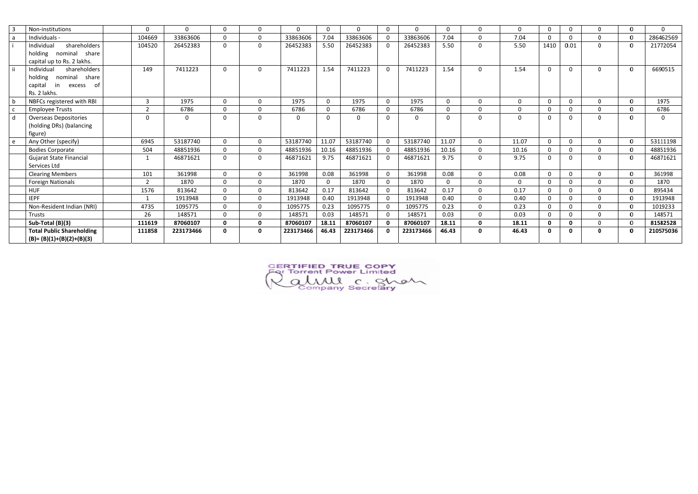| -3           | Non-institutions                 | $\Omega$       | 0         | $\mathbf 0$ | $\Omega$     | $\mathbf{0}$ | $\Omega$    | 0         | $\mathbf 0$    | $\Omega$  |          | $\Omega$       | $\Omega$    | $\Omega$     | 0            |          | $\bf{0}$     | $\Omega$  |
|--------------|----------------------------------|----------------|-----------|-------------|--------------|--------------|-------------|-----------|----------------|-----------|----------|----------------|-------------|--------------|--------------|----------|--------------|-----------|
| a            | Individuals -                    | 104669         | 33863606  | $\mathbf 0$ | $\mathbf 0$  | 33863606     | 7.04        | 33863606  | $\mathbf 0$    | 33863606  | 7.04     | $\mathbf 0$    | 7.04        | 0            | $\mathbf 0$  |          | $\bf{0}$     | 286462569 |
|              | shareholders<br>Individual       | 104520         | 26452383  | $\mathbf 0$ | 0            | 26452383     | 5.50        | 26452383  | $\mathbf 0$    | 26452383  | 5.50     | $\mathbf 0$    | 5.50        | 1410         | 0.01         | $\Omega$ | $\bf{0}$     | 21772054  |
|              | holding nominal<br>share         |                |           |             |              |              |             |           |                |           |          |                |             |              |              |          |              |           |
|              | capital up to Rs. 2 lakhs.       |                |           |             |              |              |             |           |                |           |          |                |             |              |              |          |              |           |
| l ii         | Individual<br>shareholders       | 149            | 7411223   | $\mathbf 0$ | $\Omega$     | 7411223      | 1.54        | 7411223   | $\mathbf 0$    | 7411223   | 1.54     | $\Omega$       | 1.54        | $\Omega$     | $\mathbf 0$  | $\Omega$ | $\bf{0}$     | 6690515   |
|              | nominal<br>holding<br>share      |                |           |             |              |              |             |           |                |           |          |                |             |              |              |          |              |           |
|              | capital<br>excess<br>in.<br>- of |                |           |             |              |              |             |           |                |           |          |                |             |              |              |          |              |           |
|              | Rs. 2 lakhs.                     |                |           |             |              |              |             |           |                |           |          |                |             |              |              |          |              |           |
|              | NBFCs registered with RBI        | $\overline{3}$ | 1975      | $\mathbf 0$ | 0            | 1975         | $\mathbf 0$ | 1975      | $\mathbf{0}$   | 1975      | $\Omega$ | $\overline{0}$ | $\mathbf 0$ | $\mathbf 0$  | $\mathsf{O}$ | $\Omega$ | $\mathbf 0$  | 1975      |
|              | <b>Employee Trusts</b>           | ຳ              | 6786      | $\mathbf 0$ | $\mathbf 0$  | 6786         | $\Omega$    | 6786      | $\mathbf 0$    | 6786      | $\Omega$ | $\mathbf 0$    | $\Omega$    | $\Omega$     | 0            | $\Omega$ | $\mathbf{0}$ | 6786      |
| $\mathsf{d}$ | <b>Overseas Depositories</b>     | $\Omega$       | 0         | $\mathbf 0$ | $\Omega$     | $\mathbf 0$  | $\Omega$    | 0         | $\mathbf 0$    | $\Omega$  | $\Omega$ | $\mathbf 0$    | $\Omega$    | $\Omega$     | $\mathbf 0$  | $\Omega$ | $\mathbf 0$  | $\Omega$  |
|              | (holding DRs) (balancing         |                |           |             |              |              |             |           |                |           |          |                |             |              |              |          |              |           |
|              | figure)                          |                |           |             |              |              |             |           |                |           |          |                |             |              |              |          |              |           |
| e            | Any Other (specify)              | 6945           | 53187740  | $\mathbf 0$ | $\mathbf{0}$ | 53187740     | 11.07       | 53187740  | $\mathbf 0$    | 53187740  | 11.07    | $\mathbf 0$    | 11.07       | $\Omega$     | $\mathsf{O}$ | $\Omega$ | $\bf{0}$     | 53111198  |
|              | <b>Bodies Corporate</b>          | 504            | 48851936  | $\mathbf 0$ | 0            | 48851936     | 10.16       | 48851936  | $\mathbf 0$    | 48851936  | 10.16    | $\mathbf 0$    | 10.16       | $\mathbf 0$  | $\mathbf 0$  |          | $\mathbf 0$  | 48851936  |
|              | <b>Gujarat State Financial</b>   |                | 46871621  | $\mathbf 0$ | $\Omega$     | 46871621     | 9.75        | 46871621  | $\overline{0}$ | 46871621  | 9.75     | $\mathbf 0$    | 9.75        | $\Omega$     | $\mathbf 0$  | $\Omega$ | $\mathbf 0$  | 46871621  |
|              | Services Ltd                     |                |           |             |              |              |             |           |                |           |          |                |             |              |              |          |              |           |
|              | <b>Clearing Members</b>          | 101            | 361998    | $\mathbf 0$ | $\mathbf{0}$ | 361998       | 0.08        | 361998    | $\mathbf 0$    | 361998    | 0.08     | $\Omega$       | 0.08        | $\Omega$     | $\mathsf{O}$ |          | $\mathbf{O}$ | 361998    |
|              | <b>Foreign Nationals</b>         | $\mathcal{D}$  | 1870      | $\mathbf 0$ | $\mathbf 0$  | 1870         | $\Omega$    | 1870      | $\mathbf{0}$   | 1870      | $\Omega$ | $\mathbf 0$    | $\mathbf 0$ | $\mathbf 0$  | $\mathbf 0$  | $\Omega$ | $\mathbf 0$  | 1870      |
|              | <b>HUF</b>                       | 1576           | 813642    | $\mathbf 0$ | $\Omega$     | 813642       | 0.17        | 813642    | $\mathbf 0$    | 813642    | 0.17     | $\Omega$       | 0.17        | $\Omega$     | $\mathsf{O}$ | $\Omega$ | $\Omega$     | 895434    |
|              | <b>IEPF</b>                      |                | 1913948   | $\mathbf 0$ | $\mathbf{0}$ | 1913948      | 0.40        | 1913948   | $\mathbf 0$    | 1913948   | 0.40     | $\mathbf 0$    | 0.40        | $\Omega$     | $\mathbf 0$  |          | $\mathbf{O}$ | 1913948   |
|              | Non-Resident Indian (NRI)        | 4735           | 1095775   | $\mathbf 0$ | $\Omega$     | 1095775      | 0.23        | 1095775   | $\mathbf 0$    | 1095775   | 0.23     | $\Omega$       | 0.23        | $\Omega$     | $\mathsf{O}$ |          | $\mathbf{0}$ | 1019233   |
|              | <b>Trusts</b>                    | 26             | 148571    | $\mathbf 0$ | $\mathbf 0$  | 148571       | 0.03        | 148571    | $\mathbf 0$    | 148571    | 0.03     | $\mathbf 0$    | 0.03        | $\mathbf 0$  | $\mathbf 0$  |          | $\mathbf 0$  | 148571    |
|              | Sub-Total (B)(3)                 | 111619         | 87060107  | $\mathbf 0$ | $\mathbf{0}$ | 87060107     | 18.11       | 87060107  | $\mathbf{0}$   | 87060107  | 18.11    | $\mathbf 0$    | 18.11       | $\mathbf{0}$ | $\mathbf 0$  | $\Omega$ | $\mathbf{0}$ | 81582528  |
|              | <b>Total Public Shareholding</b> | 111858         | 223173466 | $\mathbf 0$ | $\mathbf 0$  | 223173466    | 46.43       | 223173466 | $\mathbf{0}$   | 223173466 | 46.43    | $\mathbf 0$    | 46.43       | $\Omega$     | $\mathbf 0$  | $\Omega$ | $\mathbf 0$  | 210575036 |
|              | $(B)=(B)(1)+(B)(2)+(B)(3)$       |                |           |             |              |              |             |           |                |           |          |                |             |              |              |          |              |           |

CERTIFIED TRUE COPY<br>For Torrent Power Limited almul c. Shah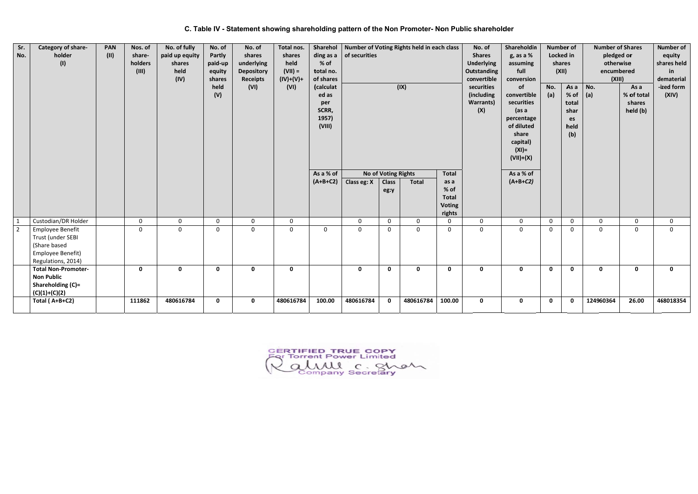C. Table IV - Statement showing shareholding pattern of the Non Promoter- Non Public shareholder

| Sr.<br>No. | Category of share-<br>holder<br>(1)                                                                     | <b>PAN</b><br>(11) | Nos. of<br>share-<br>holders<br>(III) | No. of fully<br>paid up equity<br>shares<br>held<br>(IV) | No. of<br>Partly<br>paid-up<br>equity<br>shares<br>held<br>(V) | No. of<br>shares<br>underlying<br><b>Depository</b><br><b>Receipts</b><br>(VI) | Total nos.<br>shares<br>held<br>$(VII) =$<br>$(IV)+(V)+$<br>(VI) | <b>Sharehol</b><br>ding as a<br>% of<br>total no.<br>of shares<br>(calculat<br>ed as<br>per<br>SCRR,<br>1957)<br>(VIII) | Number of Voting Rights held in each class<br>of securities<br>(IX) |                      |              | Shareholdin<br>No. of<br><b>Shares</b><br>g, as a %<br><b>Underlying</b><br>assuming<br>Outstanding<br>full<br>convertible<br>conversion<br>securities<br>of<br>(including<br>convertible<br>securities<br><b>Warrants)</b><br>(X)<br>(as a<br>percentage<br>of diluted<br>share<br>capital)<br>$(XI) =$<br>$(VII)+(X)$ |              | <b>Number of</b><br>Locked in<br>shares<br>(XII)<br>No.<br>(a) | As a<br>% of<br>total<br>shar<br>es<br>held<br>(b) | <b>Number of Shares</b><br>pledged or<br>otherwise<br>encumbered<br>(XIII)<br>No.<br>$ $ (a) | As a<br>% of total<br>shares<br>held (b) | <b>Number of</b><br>equity<br>shares held<br><b>in</b><br>dematerial<br>-ized form<br>(XIV) |              |
|------------|---------------------------------------------------------------------------------------------------------|--------------------|---------------------------------------|----------------------------------------------------------|----------------------------------------------------------------|--------------------------------------------------------------------------------|------------------------------------------------------------------|-------------------------------------------------------------------------------------------------------------------------|---------------------------------------------------------------------|----------------------|--------------|-------------------------------------------------------------------------------------------------------------------------------------------------------------------------------------------------------------------------------------------------------------------------------------------------------------------------|--------------|----------------------------------------------------------------|----------------------------------------------------|----------------------------------------------------------------------------------------------|------------------------------------------|---------------------------------------------------------------------------------------------|--------------|
|            |                                                                                                         |                    |                                       |                                                          |                                                                |                                                                                |                                                                  | As a % of                                                                                                               |                                                                     | No of Voting Rights  |              | <b>Total</b>                                                                                                                                                                                                                                                                                                            |              | As a % of                                                      |                                                    |                                                                                              |                                          |                                                                                             |              |
|            |                                                                                                         |                    |                                       |                                                          |                                                                |                                                                                |                                                                  | $(A+B+C2)$                                                                                                              | Class eg: X                                                         | <b>Class</b><br>eg:y | Total        | as a<br>% of<br><b>Total</b><br><b>Voting</b><br>rights                                                                                                                                                                                                                                                                 |              | $(A+B+C2)$                                                     |                                                    |                                                                                              |                                          |                                                                                             |              |
| 1          | Custodian/DR Holder                                                                                     |                    | $\mathbf{0}$                          | $\mathbf 0$                                              | $\mathbf 0$                                                    | $\mathbf 0$                                                                    | $\mathbf 0$                                                      |                                                                                                                         | $\mathsf{O}$                                                        | $\mathbf{0}$         | $\Omega$     | $\mathbf 0$                                                                                                                                                                                                                                                                                                             | $\mathbf 0$  | $\mathbf 0$                                                    | $\mathbf 0$                                        | $\mathbf 0$                                                                                  | $\Omega$                                 | $\Omega$                                                                                    | $\mathbf 0$  |
| $\sqrt{2}$ | <b>Employee Benefit</b><br>Trust (under SEBI<br>(Share based<br>Employee Benefit)<br>Regulations, 2014) |                    | $\mathbf 0$                           | $\mathbf 0$                                              | $\mathbf 0$                                                    | $\mathbf 0$                                                                    | $\mathbf 0$                                                      | $\mathbf 0$                                                                                                             | $\mathbf 0$                                                         | $\Omega$             | $\Omega$     | $\mathbf 0$                                                                                                                                                                                                                                                                                                             | $\mathsf{O}$ | $\mathbf 0$                                                    | 0                                                  | $\mathbf{0}$                                                                                 | $\mathbf 0$                              | $\mathbf{0}$                                                                                | $\mathsf{O}$ |
|            | <b>Total Non-Promoter-</b><br><b>Non Public</b><br>Shareholding (C)=<br>$(C)(1)+(C)(2)$                 |                    | $\mathbf 0$                           | $\mathbf 0$                                              | $\mathbf 0$                                                    | $\mathbf 0$                                                                    | $\mathbf 0$                                                      |                                                                                                                         | $\mathbf 0$                                                         | $\mathbf{0}$         | $\mathbf{0}$ | $\mathbf 0$                                                                                                                                                                                                                                                                                                             | $\mathbf 0$  | $\mathbf 0$                                                    | $\mathbf 0$                                        | $\mathbf{0}$                                                                                 | $\mathbf 0$                              | $\mathbf{0}$                                                                                | $\mathbf 0$  |
|            | Total (A+B+C2)                                                                                          |                    | 111862                                | 480616784                                                | $\mathbf 0$                                                    | $\mathbf 0$                                                                    | 480616784                                                        | 100.00                                                                                                                  | 480616784                                                           | $\mathbf 0$          | 480616784    | 100.00                                                                                                                                                                                                                                                                                                                  | $\mathbf 0$  | $\mathbf 0$                                                    | $\mathbf 0$                                        | $\mathbf{0}$                                                                                 | 124960364                                | 26.00                                                                                       | 468018354    |

CERTIFIED TRUE COPY almul c. Shah